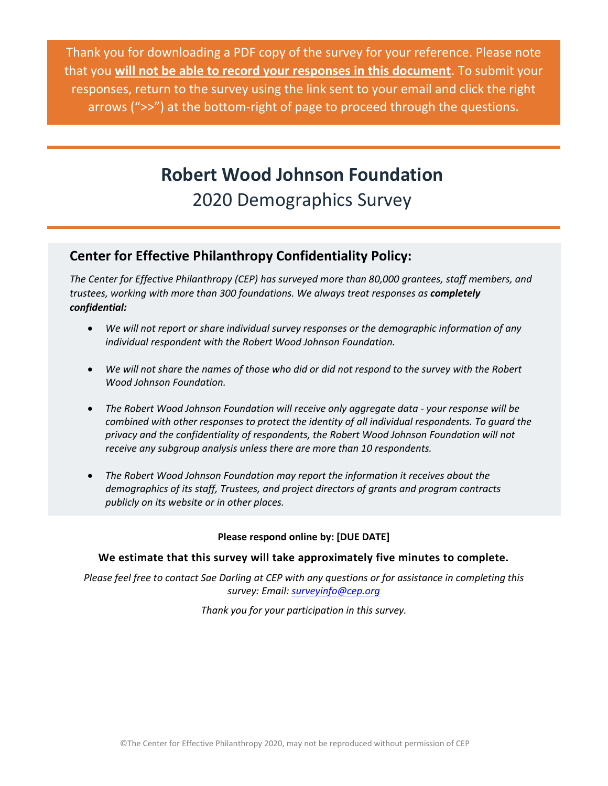Thank you for downloading a PDF copy of the survey for your reference. Please note that you **will not be able to record your responses in this document**. To submit your responses, return to the survey using the link sent to your email and click the right arrows (">>") at the bottom-right of page to proceed through the questions.

# **Robert Wood Johnson Foundation** 2020 Demographics Survey

## **Center for Effective Philanthropy Confidentiality Policy:**

*The Center for Effective Philanthropy (CEP) has surveyed more than 80,000 grantees, staff members, and trustees, working with more than 300 foundations. We always treat responses as completely confidential:*

- *We will not report or share individual survey responses or the demographic information of any individual respondent with the Robert Wood Johnson Foundation.*
- *We will not share the names of those who did or did not respond to the survey with the Robert Wood Johnson Foundation.*
- *The Robert Wood Johnson Foundation will receive only aggregate data - your response will be combined with other responses to protect the identity of all individual respondents. To guard the privacy and the confidentiality of respondents, the Robert Wood Johnson Foundation will not receive any subgroup analysis unless there are more than 10 respondents.*
- *The Robert Wood Johnson Foundation may report the information it receives about the demographics of its staff, Trustees, and project directors of grants and program contracts publicly on its website or in other places.*

### **Please respond online by: [DUE DATE]**

### **We estimate that this survey will take approximately five minutes to complete.**

*Please feel free to contact Sae Darling at CEP with any questions or for assistance in completing this survey: Email[: surveyinfo@cep.org](https://effectivephilanthropy.sharepoint.com/sites/CEP-Public2/Assessment%20Tools/Robert%20Wood%20Johnson%20Foundation/2020%202%20Advisory%20Demographics%20-%20Phase%202/survey%20checks%20-%20new/surveyinfo@cep.org)*

*Thank you for your participation in this survey.*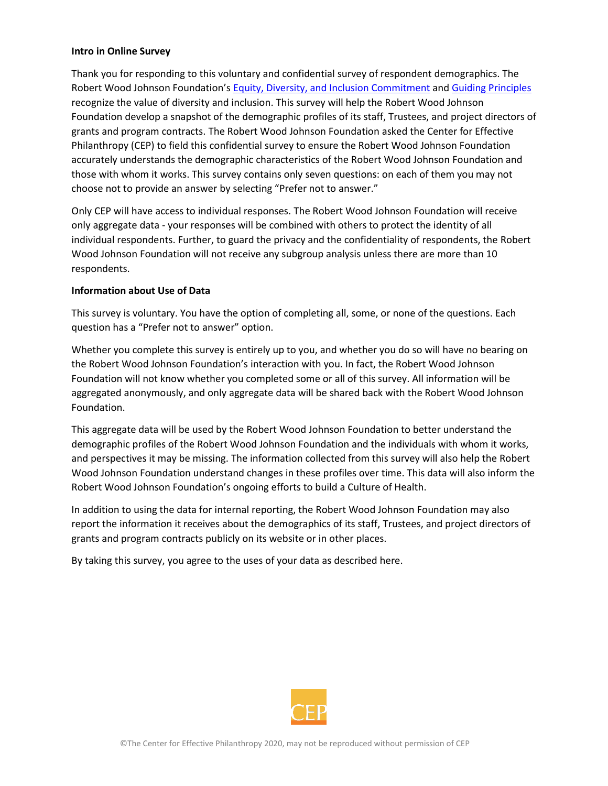#### **Intro in Online Survey**

Thank you for responding to this voluntary and confidential survey of respondent demographics. The Robert Wood Johnson Foundation's [Equity, Diversity, and Inclusion Commitment](https://www.rwjf.org/en/about-rwjf/our-policies/equity--diversity-and-inclusion-commitment.html) and [Guiding Principles](https://www.rwjf.org/en/about-rwjf/our-guiding-principles.html) recognize the value of diversity and inclusion. This survey will help the Robert Wood Johnson Foundation develop a snapshot of the demographic profiles of its staff, Trustees, and project directors of grants and program contracts. The Robert Wood Johnson Foundation asked the Center for Effective Philanthropy (CEP) to field this confidential survey to ensure the Robert Wood Johnson Foundation accurately understands the demographic characteristics of the Robert Wood Johnson Foundation and those with whom it works. This survey contains only seven questions: on each of them you may not choose not to provide an answer by selecting "Prefer not to answer."

Only CEP will have access to individual responses. The Robert Wood Johnson Foundation will receive only aggregate data - your responses will be combined with others to protect the identity of all individual respondents. Further, to guard the privacy and the confidentiality of respondents, the Robert Wood Johnson Foundation will not receive any subgroup analysis unless there are more than 10 respondents.

### **Information about Use of Data**

This survey is voluntary. You have the option of completing all, some, or none of the questions. Each question has a "Prefer not to answer" option.

Whether you complete this survey is entirely up to you, and whether you do so will have no bearing on the Robert Wood Johnson Foundation's interaction with you. In fact, the Robert Wood Johnson Foundation will not know whether you completed some or all of this survey. All information will be aggregated anonymously, and only aggregate data will be shared back with the Robert Wood Johnson Foundation.

This aggregate data will be used by the Robert Wood Johnson Foundation to better understand the demographic profiles of the Robert Wood Johnson Foundation and the individuals with whom it works, and perspectives it may be missing. The information collected from this survey will also help the Robert Wood Johnson Foundation understand changes in these profiles over time. This data will also inform the Robert Wood Johnson Foundation's ongoing efforts to build a Culture of Health.

In addition to using the data for internal reporting, the Robert Wood Johnson Foundation may also report the information it receives about the demographics of its staff, Trustees, and project directors of grants and program contracts publicly on its website or in other places.

By taking this survey, you agree to the uses of your data as described here.

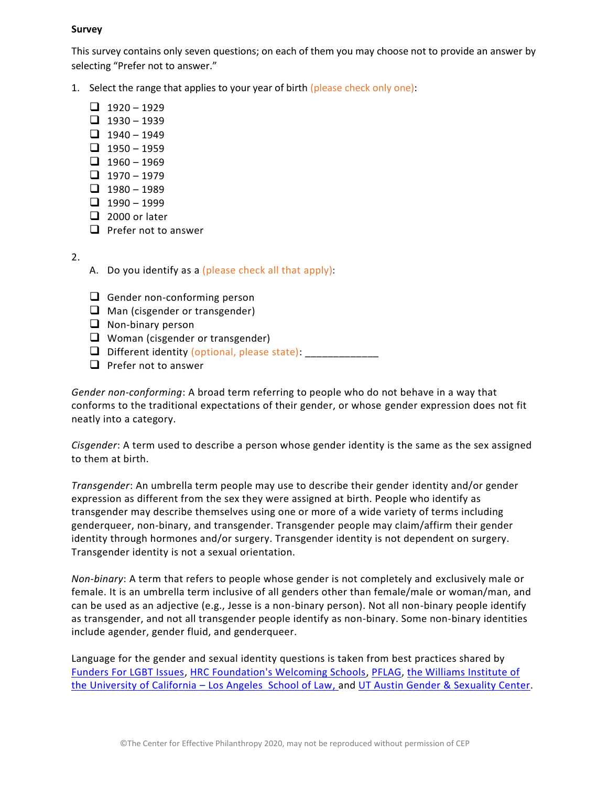#### **Survey**

This survey contains only seven questions; on each of them you may choose not to provide an answer by selecting "Prefer not to answer."

- 1. Select the range that applies to your year of birth (please check only one):
	- $\Box$  1920 1929
	- $\Box$  1930 1939
	- $\Box$  1940 1949
	- $\Box$  1950 1959
	- $\Box$  1960 1969
	- $\Box$  1970 1979
	- $\Box$  1980 1989
	- $\Box$  1990 1999
	- ❑ 2000 or later
	- ❑ Prefer not to answer
- 2.
- A. Do you identify as a (please check all that apply):
- ❑ Gender non-conforming person
- ❑ Man (cisgender or transgender)
- ❑ Non-binary person
- ❑ Woman (cisgender or transgender)
- ❑ Different identity (optional, please state): \_\_\_\_\_\_\_\_\_\_\_\_\_
- ❑ Prefer not to answer

*Gender non-conforming*: A broad term referring to people who do not behave in a way that conforms to the traditional expectations of their gender, or whose gender expression does not fit neatly into a category.

*Cisgender*: A term used to describe a person whose gender identity is the same as the sex assigned to them at birth.

*Transgender*: An umbrella term people may use to describe their gender identity and/or gender expression as different from the sex they were assigned at birth. People who identify as transgender may describe themselves using one or more of a wide variety of terms including genderqueer, non-binary, and transgender. Transgender people may claim/affirm their gender identity through hormones and/or surgery. Transgender identity is not dependent on surgery. Transgender identity is not a sexual orientation.

*Non-binary*: A term that refers to people whose gender is not completely and exclusively male or female. It is an umbrella term inclusive of all genders other than female/male or woman/man, and can be used as an adjective (e.g., Jesse is a non-binary person). Not all non-binary people identify as transgender, and not all transgender people identify as non-binary. Some non-binary identities include agender, gender fluid, and genderqueer.

Language for the gender and sexual identity questions is taken from best practices shared by [Funders For LGBT Issues,](https://lgbtfunders.org/resources/best-practices-for-foundations-on-collecting-data-on-sexual-orientation-and-gender-identity/) [HRC Foundation's Welcoming Schools,](http://www.welcomingschools.org/resources/definitions/definitions-for-adults/) [PFLAG,](https://pflag.org/glossary) [the Williams Institute of](https://williamsinstitute.law.ucla.edu/research/census-lgbt-demographics-studies/best-practices-for-asking-questions-about-sexual-orientation-on-surveys/)  [the University of California](https://williamsinstitute.law.ucla.edu/research/census-lgbt-demographics-studies/best-practices-for-asking-questions-about-sexual-orientation-on-surveys/) – Los Angeles School of Law, and [UT Austin Gender & Sexuality Center.](https://diversity.utexas.edu/genderandsexuality/glossary/english/)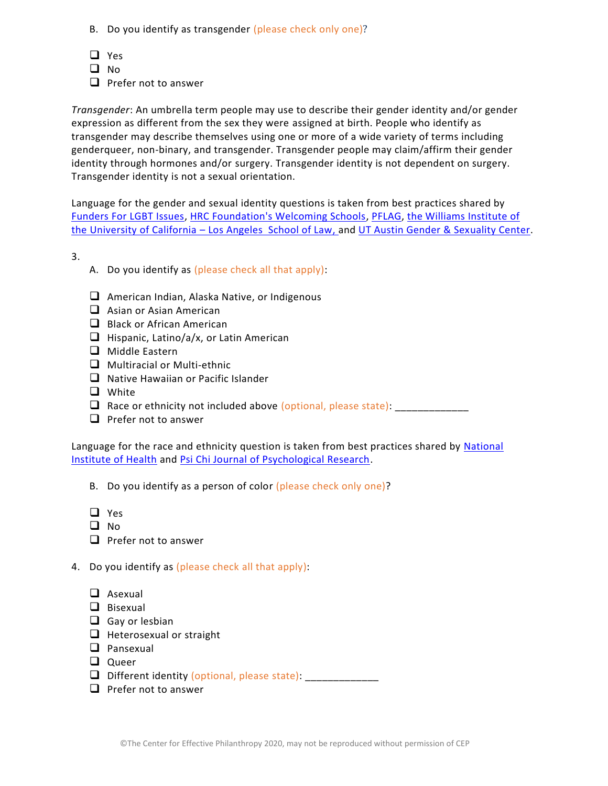- B. Do you identify as transgender (please check only one)?
- ❑ Yes
- ❑ No
- ❑ Prefer not to answer

*Transgender*: An umbrella term people may use to describe their gender identity and/or gender expression as different from the sex they were assigned at birth. People who identify as transgender may describe themselves using one or more of a wide variety of terms including genderqueer, non-binary, and transgender. Transgender people may claim/affirm their gender identity through hormones and/or surgery. Transgender identity is not dependent on surgery. Transgender identity is not a sexual orientation.

Language for the gender and sexual identity questions is taken from best practices shared by [Funders For LGBT Issues,](https://lgbtfunders.org/resources/best-practices-for-foundations-on-collecting-data-on-sexual-orientation-and-gender-identity/) [HRC Foundation's Welcoming Schools,](http://www.welcomingschools.org/resources/definitions/definitions-for-adults/) [PFLAG,](https://pflag.org/glossary) [the Williams Institute of](https://williamsinstitute.law.ucla.edu/research/census-lgbt-demographics-studies/best-practices-for-asking-questions-about-sexual-orientation-on-surveys/)  [the University of California](https://williamsinstitute.law.ucla.edu/research/census-lgbt-demographics-studies/best-practices-for-asking-questions-about-sexual-orientation-on-surveys/) – Los Angeles School of Law, and [UT Austin Gender & Sexuality Center.](https://diversity.utexas.edu/genderandsexuality/glossary/english/)

3.

- A. Do you identify as (please check all that apply):
- ❑ American Indian, Alaska Native, or Indigenous
- ❑ Asian or Asian American
- ❑ Black or African American
- ❑ Hispanic, Latino/a/x, or Latin American
- ❑ Middle Eastern
- ❑ Multiracial or Multi-ethnic
- ❑ Native Hawaiian or Pacific Islander
- ❑ White
- $\Box$  Race or ethnicity not included above (optional, please state):
- ❑ Prefer not to answer

Language for the race and ethnicity question is taken from best practices shared by National [Institute of Health](https://grants.nih.gov/grants/guide/notice-files/not-od-15-089.html) and [Psi Chi Journal of Psychological Research.](https://www.psichi.org/)

B. Do you identify as a person of color (please check only one)?

- ❑ Yes
- ❑ No
- ❑ Prefer not to answer
- 4. Do you identify as (please check all that apply):
	- ❑ Asexual
	- ❑ Bisexual
	- ❑ Gay or lesbian
	- ❑ Heterosexual or straight
	- ❑ Pansexual
	- ❑ Queer
	- $\Box$  Different identity (optional, please state):  $\Box$
	- ❑ Prefer not to answer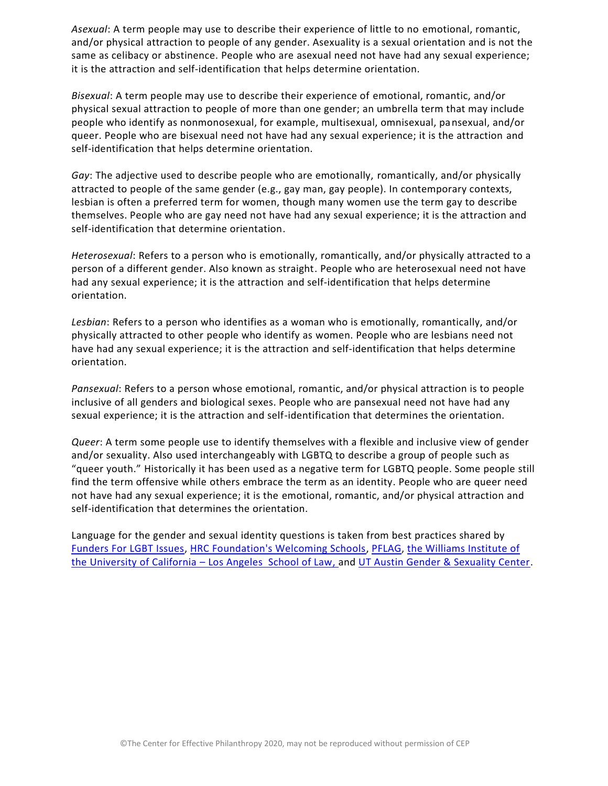*Asexual*: A term people may use to describe their experience of little to no emotional, romantic, and/or physical attraction to people of any gender. Asexuality is a sexual orientation and is not the same as celibacy or abstinence. People who are asexual need not have had any sexual experience; it is the attraction and self-identification that helps determine orientation.

*Bisexual*: A term people may use to describe their experience of emotional, romantic, and/or physical sexual attraction to people of more than one gender; an umbrella term that may include people who identify as nonmonosexual, for example, multisexual, omnisexual, pansexual, and/or queer. People who are bisexual need not have had any sexual experience; it is the attraction and self-identification that helps determine orientation.

*Gay*: The adjective used to describe people who are emotionally, romantically, and/or physically attracted to people of the same gender (e.g., gay man, gay people). In contemporary contexts, lesbian is often a preferred term for women, though many women use the term gay to describe themselves. People who are gay need not have had any sexual experience; it is the attraction and self-identification that determine orientation.

*Heterosexual*: Refers to a person who is emotionally, romantically, and/or physically attracted to a person of a different gender. Also known as straight. People who are heterosexual need not have had any sexual experience; it is the attraction and self-identification that helps determine orientation.

*Lesbian*: Refers to a person who identifies as a woman who is emotionally, romantically, and/or physically attracted to other people who identify as women. People who are lesbians need not have had any sexual experience; it is the attraction and self-identification that helps determine orientation.

*Pansexual*: Refers to a person whose emotional, romantic, and/or physical attraction is to people inclusive of all genders and biological sexes. People who are pansexual need not have had any sexual experience; it is the attraction and self-identification that determines the orientation.

*Queer*: A term some people use to identify themselves with a flexible and inclusive view of gender and/or sexuality. Also used interchangeably with LGBTQ to describe a group of people such as "queer youth." Historically it has been used as a negative term for LGBTQ people. Some people still find the term offensive while others embrace the term as an identity. People who are queer need not have had any sexual experience; it is the emotional, romantic, and/or physical attraction and self-identification that determines the orientation.

Language for the gender and sexual identity questions is taken from best practices shared by [Funders For LGBT Issues,](https://lgbtfunders.org/resources/best-practices-for-foundations-on-collecting-data-on-sexual-orientation-and-gender-identity/) [HRC Foundation's Welcoming Schools,](http://www.welcomingschools.org/resources/definitions/definitions-for-adults/) [PFLAG,](https://pflag.org/glossary) [the Williams Institute of](https://williamsinstitute.law.ucla.edu/research/census-lgbt-demographics-studies/best-practices-for-asking-questions-about-sexual-orientation-on-surveys/)  [the University of California](https://williamsinstitute.law.ucla.edu/research/census-lgbt-demographics-studies/best-practices-for-asking-questions-about-sexual-orientation-on-surveys/) – Los Angeles School of Law, and [UT Austin Gender & Sexuality Center.](https://diversity.utexas.edu/genderandsexuality/glossary/english/)